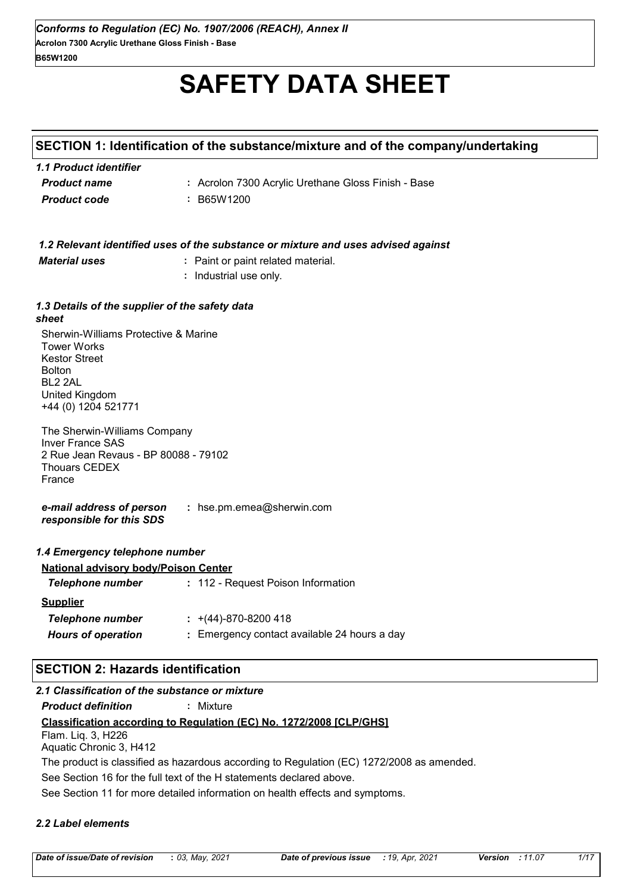# **SAFETY DATA SHEET**

### **SECTION 1: Identification of the substance/mixture and of the company/undertaking**

| 1.1 Product identifier |                                                     |
|------------------------|-----------------------------------------------------|
| <b>Product name</b>    | : Acrolon 7300 Acrylic Urethane Gloss Finish - Base |
| <b>Product code</b>    | : B65W1200                                          |

|                      | 1.2 Relevant identified uses of the substance or mixture and uses advised against |
|----------------------|-----------------------------------------------------------------------------------|
| <b>Material uses</b> | : Paint or paint related material.                                                |

**:** Industrial use only.

#### *1.3 Details of the supplier of the safety data sheet*

Sherwin-Williams Protective & Marine Tower Works Kestor Street Bolton BL2 2AL United Kingdom +44 (0) 1204 521771

The Sherwin-Williams Company Inver France SAS 2 Rue Jean Revaus - BP 80088 - 79102 Thouars CEDEX France

*e-mail address of person responsible for this SDS* **:** hse.pm.emea@sherwin.com

### *1.4 Emergency telephone number*

| <b>National advisory body/Poison Center</b> |                                              |
|---------------------------------------------|----------------------------------------------|
| Telephone number                            | : 112 - Request Poison Information           |
| <b>Supplier</b>                             |                                              |
| Telephone number                            | $\div$ +(44)-870-8200 418                    |
| <b>Hours of operation</b>                   | : Emergency contact available 24 hours a day |

### **SECTION 2: Hazards identification**

### *2.1 Classification of the substance or mixture*

*Product definition* **:** Mixture

### **Classification according to Regulation (EC) No. 1272/2008 [CLP/GHS]**

Flam. Liq. 3, H226 Aquatic Chronic 3, H412

The product is classified as hazardous according to Regulation (EC) 1272/2008 as amended.

See Section 16 for the full text of the H statements declared above.

See Section 11 for more detailed information on health effects and symptoms.

### *2.2 Label elements*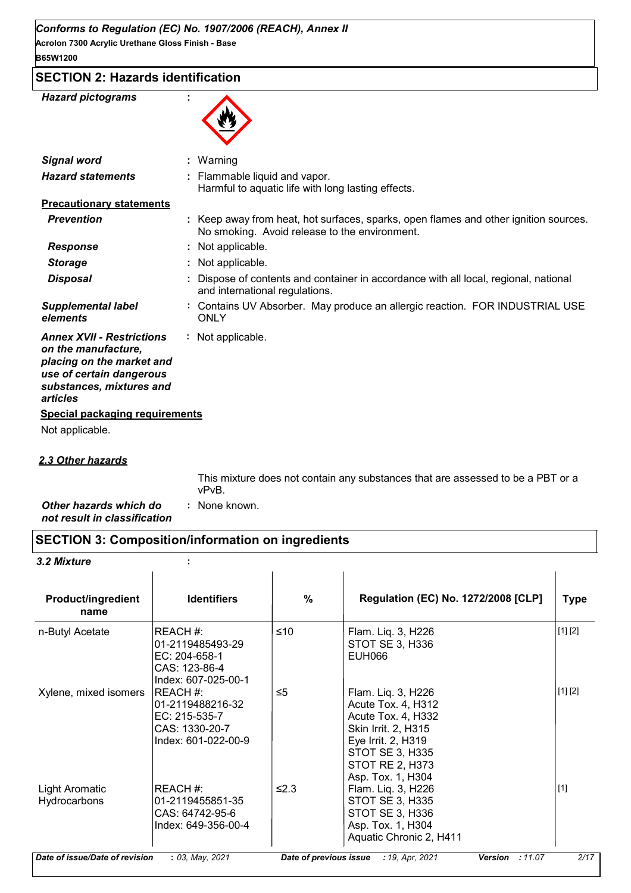**Acrolon 7300 Acrylic Urethane Gloss Finish - Base B65W1200**

### **SECTION 2: Hazards identification**

| <b>Hazard pictograms</b>                                                                                                                                 |                                                                                                                                       |
|----------------------------------------------------------------------------------------------------------------------------------------------------------|---------------------------------------------------------------------------------------------------------------------------------------|
| <b>Signal word</b>                                                                                                                                       | : Warning                                                                                                                             |
| <b>Hazard statements</b>                                                                                                                                 | Flammable liquid and vapor.<br>Harmful to aquatic life with long lasting effects.                                                     |
| <b>Precautionary statements</b>                                                                                                                          |                                                                                                                                       |
| <b>Prevention</b>                                                                                                                                        | : Keep away from heat, hot surfaces, sparks, open flames and other ignition sources.<br>No smoking. Avoid release to the environment. |
| <b>Response</b>                                                                                                                                          | Not applicable.                                                                                                                       |
| <b>Storage</b>                                                                                                                                           | Not applicable.                                                                                                                       |
| <b>Disposal</b>                                                                                                                                          | Dispose of contents and container in accordance with all local, regional, national<br>and international regulations.                  |
| <b>Supplemental label</b><br>elements                                                                                                                    | Contains UV Absorber. May produce an allergic reaction. FOR INDUSTRIAL USE<br><b>ONLY</b>                                             |
| <b>Annex XVII - Restrictions</b><br>on the manufacture,<br>placing on the market and<br>use of certain dangerous<br>substances, mixtures and<br>articles | Not applicable.                                                                                                                       |
| <b>Special packaging requirements</b>                                                                                                                    |                                                                                                                                       |
| Not applicable.                                                                                                                                          |                                                                                                                                       |
| <b>2.3 Other hazards</b>                                                                                                                                 |                                                                                                                                       |

This mixture does not contain any substances that are assessed to be a PBT or a vPvB.

*Other hazards which do* **:** *not result in classification* : None known.

### **SECTION 3: Composition/information on ingredients**

### *3.2 Mixture* **:**

| <b>Product/ingredient</b><br>name     | <b>Identifiers</b>                                                                     | $\frac{0}{0}$ | <b>Regulation (EC) No. 1272/2008 [CLP]</b>                                                                                                                                           | <b>Type</b> |
|---------------------------------------|----------------------------------------------------------------------------------------|---------------|--------------------------------------------------------------------------------------------------------------------------------------------------------------------------------------|-------------|
| n-Butyl Acetate                       | REACH#:<br>01-2119485493-29<br>EC: 204-658-1<br>CAS: 123-86-4<br>Index: 607-025-00-1   | ≤10           | Flam. Liq. 3, H226<br>STOT SE 3, H336<br>EUH066                                                                                                                                      | [1] [2]     |
| Xylene, mixed isomers                 | REACH #:<br>01-2119488216-32<br>EC: 215-535-7<br>CAS: 1330-20-7<br>Index: 601-022-00-9 | ≤5            | Flam. Liq. 3, H226<br>Acute Tox. 4, H312<br>Acute Tox. 4, H332<br>Skin Irrit. 2, H315<br>Eye Irrit. 2, H319<br><b>STOT SE 3, H335</b><br><b>STOT RE 2, H373</b><br>Asp. Tox. 1, H304 | [1] [2]     |
| <b>Light Aromatic</b><br>Hydrocarbons | REACH#:<br>01-2119455851-35<br>CAS: 64742-95-6<br>Index: 649-356-00-4                  | ≤2.3          | Flam. Liq. 3, H226<br><b>STOT SE 3, H335</b><br>STOT SE 3, H336<br>Asp. Tox. 1, H304<br>Aquatic Chronic 2, H411                                                                      | $[1]$       |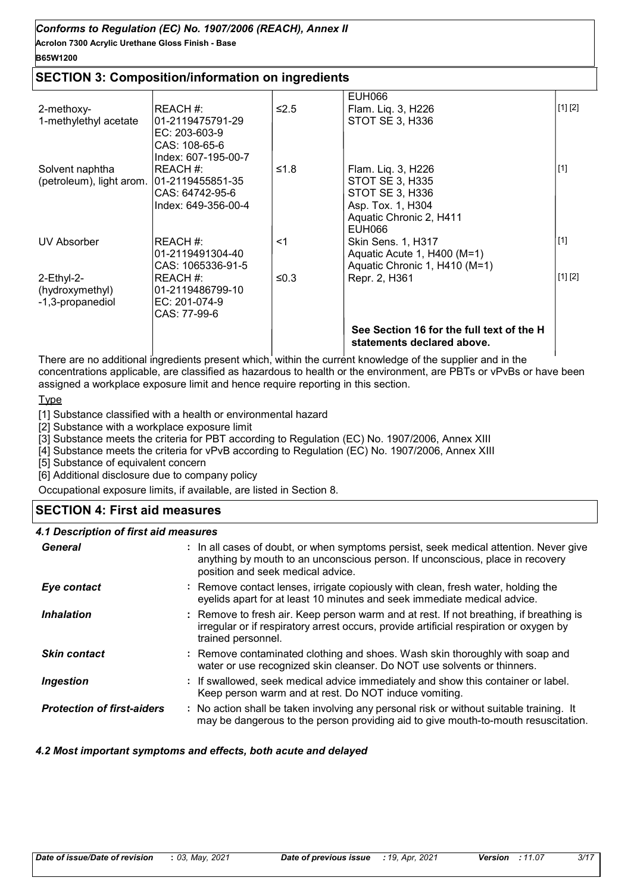**Acrolon 7300 Acrylic Urethane Gloss Finish - Base**

### **B65W1200**

### **SECTION 3: Composition/information on ingredients**

|                               |                                      |         | <b>EUH066</b>                                                           |             |
|-------------------------------|--------------------------------------|---------|-------------------------------------------------------------------------|-------------|
| 2-methoxy-                    | IREACH #:                            | $≤2.5$  | Flam. Liq. 3, H226                                                      | [1] [2]     |
| 1-methylethyl acetate         | 01-2119475791-29                     |         | <b>STOT SE 3, H336</b>                                                  |             |
|                               | EC: 203-603-9                        |         |                                                                         |             |
|                               | CAS: 108-65-6<br>Index: 607-195-00-7 |         |                                                                         |             |
| Solvent naphtha               | REACH #:                             | ≤1.8    | Flam. Liq. 3, H226                                                      | $[1]$       |
| (petroleum), light arom.      | 01-2119455851-35                     |         | <b>STOT SE 3, H335</b>                                                  |             |
|                               | CAS: 64742-95-6                      |         | STOT SE 3, H336                                                         |             |
|                               | Index: 649-356-00-4                  |         | Asp. Tox. 1, H304                                                       |             |
|                               |                                      |         | Aquatic Chronic 2, H411<br>EUH066                                       |             |
| UV Absorber                   | REACH #:                             | <1      | <b>Skin Sens. 1, H317</b>                                               | $\vert$ [1] |
|                               | 01-2119491304-40                     |         | Aquatic Acute 1, H400 (M=1)                                             |             |
|                               | CAS: 1065336-91-5                    |         | Aquatic Chronic 1, H410 (M=1)                                           |             |
| 2-Ethyl-2-<br>(hydroxymethyl) | REACH#:<br>01-2119486799-10          | ≤ $0.3$ | Repr. 2, H361                                                           | [1] [2]     |
| -1,3-propanediol              | EC: 201-074-9                        |         |                                                                         |             |
|                               | CAS: 77-99-6                         |         |                                                                         |             |
|                               |                                      |         | See Section 16 for the full text of the H<br>statements declared above. |             |

There are no additional ingredients present which, within the current knowledge of the supplier and in the concentrations applicable, are classified as hazardous to health or the environment, are PBTs or vPvBs or have been assigned a workplace exposure limit and hence require reporting in this section.

### **Type**

[1] Substance classified with a health or environmental hazard

[2] Substance with a workplace exposure limit

[3] Substance meets the criteria for PBT according to Regulation (EC) No. 1907/2006, Annex XIII

[4] Substance meets the criteria for vPvB according to Regulation (EC) No. 1907/2006, Annex XIII

[5] Substance of equivalent concern

[6] Additional disclosure due to company policy

Occupational exposure limits, if available, are listed in Section 8.

### **SECTION 4: First aid measures**

### *4.1 Description of first aid measures*

| General                           | : In all cases of doubt, or when symptoms persist, seek medical attention. Never give<br>anything by mouth to an unconscious person. If unconscious, place in recovery<br>position and seek medical advice. |
|-----------------------------------|-------------------------------------------------------------------------------------------------------------------------------------------------------------------------------------------------------------|
| Eye contact                       | : Remove contact lenses, irrigate copiously with clean, fresh water, holding the<br>eyelids apart for at least 10 minutes and seek immediate medical advice.                                                |
| <i><b>Inhalation</b></i>          | : Remove to fresh air. Keep person warm and at rest. If not breathing, if breathing is<br>irregular or if respiratory arrest occurs, provide artificial respiration or oxygen by<br>trained personnel.      |
| <b>Skin contact</b>               | : Remove contaminated clothing and shoes. Wash skin thoroughly with soap and<br>water or use recognized skin cleanser. Do NOT use solvents or thinners.                                                     |
| Ingestion                         | : If swallowed, seek medical advice immediately and show this container or label.<br>Keep person warm and at rest. Do NOT induce vomiting.                                                                  |
| <b>Protection of first-aiders</b> | : No action shall be taken involving any personal risk or without suitable training. It<br>may be dangerous to the person providing aid to give mouth-to-mouth resuscitation.                               |

### *4.2 Most important symptoms and effects, both acute and delayed*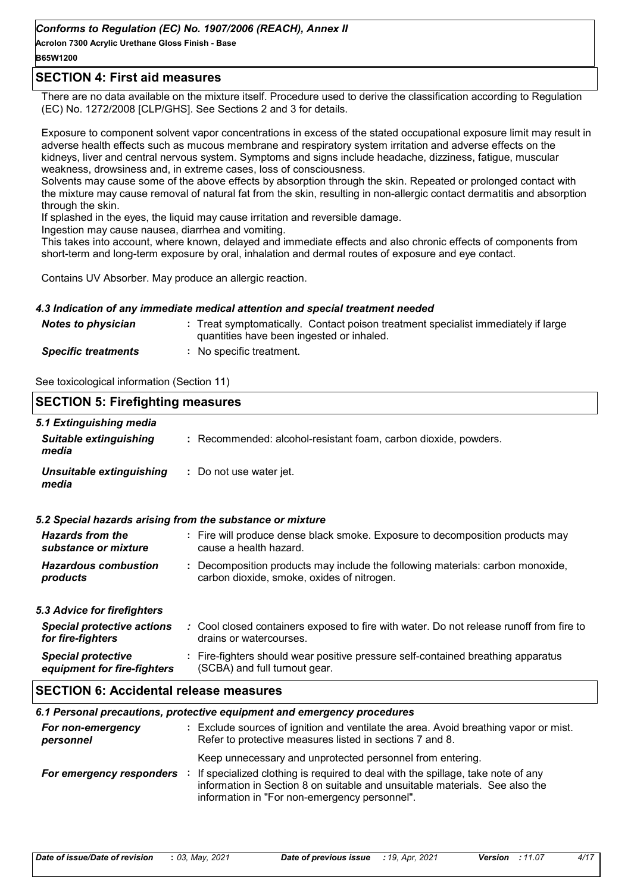**Acrolon 7300 Acrylic Urethane Gloss Finish - Base**

### **B65W1200**

### **SECTION 4: First aid measures**

There are no data available on the mixture itself. Procedure used to derive the classification according to Regulation (EC) No. 1272/2008 [CLP/GHS]. See Sections 2 and 3 for details.

Exposure to component solvent vapor concentrations in excess of the stated occupational exposure limit may result in adverse health effects such as mucous membrane and respiratory system irritation and adverse effects on the kidneys, liver and central nervous system. Symptoms and signs include headache, dizziness, fatigue, muscular weakness, drowsiness and, in extreme cases, loss of consciousness.

Solvents may cause some of the above effects by absorption through the skin. Repeated or prolonged contact with the mixture may cause removal of natural fat from the skin, resulting in non-allergic contact dermatitis and absorption through the skin.

If splashed in the eyes, the liquid may cause irritation and reversible damage.

Ingestion may cause nausea, diarrhea and vomiting.

This takes into account, where known, delayed and immediate effects and also chronic effects of components from short-term and long-term exposure by oral, inhalation and dermal routes of exposure and eye contact.

Contains UV Absorber. May produce an allergic reaction.

#### *4.3 Indication of any immediate medical attention and special treatment needed*

| <b>Notes to physician</b>  | : Treat symptomatically. Contact poison treatment specialist immediately if large<br>quantities have been ingested or inhaled. |
|----------------------------|--------------------------------------------------------------------------------------------------------------------------------|
| <b>Specific treatments</b> | No specific treatment.                                                                                                         |

See toxicological information (Section 11)

| <b>SECTION 5: Firefighting measures</b>                           |                                                                                                                              |  |
|-------------------------------------------------------------------|------------------------------------------------------------------------------------------------------------------------------|--|
| 5.1 Extinguishing media<br><b>Suitable extinguishing</b><br>media | : Recommended: alcohol-resistant foam, carbon dioxide, powders.                                                              |  |
| Unsuitable extinguishing<br>media                                 | : Do not use water jet.                                                                                                      |  |
|                                                                   | 5.2 Special hazards arising from the substance or mixture                                                                    |  |
| <b>Hazards from the</b><br>substance or mixture                   | : Fire will produce dense black smoke. Exposure to decomposition products may<br>cause a health hazard.                      |  |
| <b>Hazardous combustion</b><br>products                           | : Decomposition products may include the following materials: carbon monoxide,<br>carbon dioxide, smoke, oxides of nitrogen. |  |
| 5.3 Advice for firefighters                                       |                                                                                                                              |  |
| <b>Special protective actions</b><br>for fire-fighters            | : Cool closed containers exposed to fire with water. Do not release runoff from fire to<br>drains or watercourses.           |  |
| <b>Special protective</b><br>equipment for fire-fighters          | : Fire-fighters should wear positive pressure self-contained breathing apparatus<br>(SCBA) and full turnout gear.            |  |
| <b>SECTION 6: Accidental release measures</b>                     |                                                                                                                              |  |
|                                                                   | 6.1 Personal precautions, protective equipment and emergency procedures                                                      |  |

|                                | 6.1 Personal precautions, protective equipment and emergency procedures                                                                                                                                                                                                      |
|--------------------------------|------------------------------------------------------------------------------------------------------------------------------------------------------------------------------------------------------------------------------------------------------------------------------|
| For non-emergency<br>personnel | : Exclude sources of ignition and ventilate the area. Avoid breathing vapor or mist.<br>Refer to protective measures listed in sections 7 and 8.                                                                                                                             |
| For emergency responders       | Keep unnecessary and unprotected personnel from entering.<br>If specialized clothing is required to deal with the spillage, take note of any<br>information in Section 8 on suitable and unsuitable materials. See also the<br>information in "For non-emergency personnel". |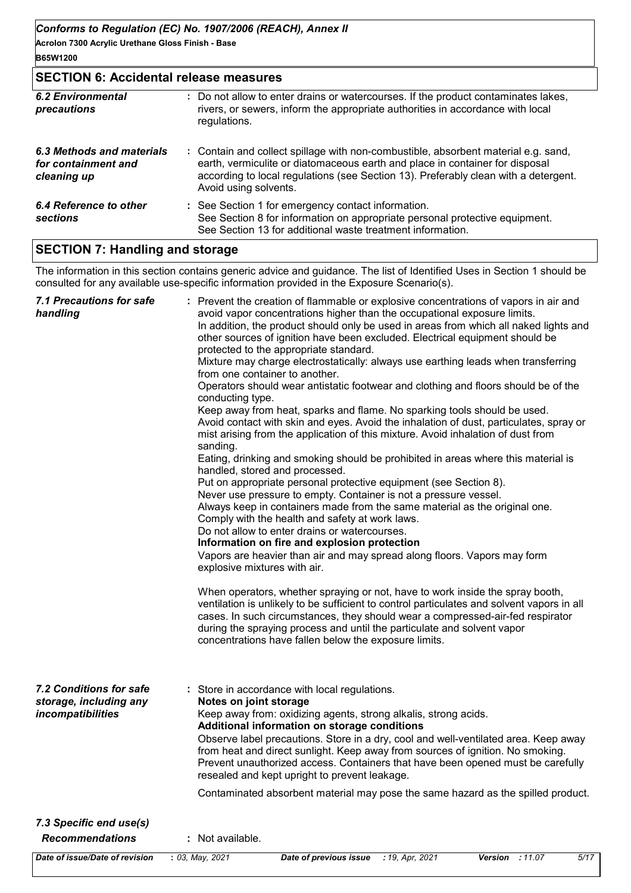### **SECTION 6: Accidental release measures**

| <b>6.2 Environmental</b><br>precautions                         | : Do not allow to enter drains or watercourses. If the product contaminates lakes,<br>rivers, or sewers, inform the appropriate authorities in accordance with local<br>regulations.                                                                                               |
|-----------------------------------------------------------------|------------------------------------------------------------------------------------------------------------------------------------------------------------------------------------------------------------------------------------------------------------------------------------|
| 6.3 Methods and materials<br>for containment and<br>cleaning up | : Contain and collect spillage with non-combustible, absorbent material e.g. sand,<br>earth, vermiculite or diatomaceous earth and place in container for disposal<br>according to local regulations (see Section 13). Preferably clean with a detergent.<br>Avoid using solvents. |
| 6.4 Reference to other<br>sections                              | : See Section 1 for emergency contact information.<br>See Section 8 for information on appropriate personal protective equipment.<br>See Section 13 for additional waste treatment information.                                                                                    |

### **SECTION 7: Handling and storage**

The information in this section contains generic advice and guidance. The list of Identified Uses in Section 1 should be consulted for any available use-specific information provided in the Exposure Scenario(s).

| 7.1 Precautions for safe<br>handling                                          | : Prevent the creation of flammable or explosive concentrations of vapors in air and<br>avoid vapor concentrations higher than the occupational exposure limits.<br>In addition, the product should only be used in areas from which all naked lights and<br>other sources of ignition have been excluded. Electrical equipment should be<br>protected to the appropriate standard.<br>Mixture may charge electrostatically: always use earthing leads when transferring<br>from one container to another.<br>Operators should wear antistatic footwear and clothing and floors should be of the<br>conducting type.<br>Keep away from heat, sparks and flame. No sparking tools should be used.<br>Avoid contact with skin and eyes. Avoid the inhalation of dust, particulates, spray or<br>mist arising from the application of this mixture. Avoid inhalation of dust from<br>sanding.<br>Eating, drinking and smoking should be prohibited in areas where this material is<br>handled, stored and processed.<br>Put on appropriate personal protective equipment (see Section 8).<br>Never use pressure to empty. Container is not a pressure vessel.<br>Always keep in containers made from the same material as the original one.<br>Comply with the health and safety at work laws.<br>Do not allow to enter drains or watercourses.<br>Information on fire and explosion protection<br>Vapors are heavier than air and may spread along floors. Vapors may form<br>explosive mixtures with air.<br>When operators, whether spraying or not, have to work inside the spray booth, |
|-------------------------------------------------------------------------------|-------------------------------------------------------------------------------------------------------------------------------------------------------------------------------------------------------------------------------------------------------------------------------------------------------------------------------------------------------------------------------------------------------------------------------------------------------------------------------------------------------------------------------------------------------------------------------------------------------------------------------------------------------------------------------------------------------------------------------------------------------------------------------------------------------------------------------------------------------------------------------------------------------------------------------------------------------------------------------------------------------------------------------------------------------------------------------------------------------------------------------------------------------------------------------------------------------------------------------------------------------------------------------------------------------------------------------------------------------------------------------------------------------------------------------------------------------------------------------------------------------------------------------------------------------------------------------------------|
|                                                                               | ventilation is unlikely to be sufficient to control particulates and solvent vapors in all<br>cases. In such circumstances, they should wear a compressed-air-fed respirator<br>during the spraying process and until the particulate and solvent vapor<br>concentrations have fallen below the exposure limits.                                                                                                                                                                                                                                                                                                                                                                                                                                                                                                                                                                                                                                                                                                                                                                                                                                                                                                                                                                                                                                                                                                                                                                                                                                                                          |
| <b>7.2 Conditions for safe</b><br>storage, including any<br>incompatibilities | : Store in accordance with local regulations.<br>Notes on joint storage<br>Keep away from: oxidizing agents, strong alkalis, strong acids.<br>Additional information on storage conditions<br>Observe label precautions. Store in a dry, cool and well-ventilated area. Keep away<br>from heat and direct sunlight. Keep away from sources of ignition. No smoking.<br>Prevent unauthorized access. Containers that have been opened must be carefully<br>resealed and kept upright to prevent leakage.<br>Contaminated absorbent material may pose the same hazard as the spilled product.                                                                                                                                                                                                                                                                                                                                                                                                                                                                                                                                                                                                                                                                                                                                                                                                                                                                                                                                                                                               |
| 7.3 Specific end use(s)<br><b>Recommendations</b>                             | : Not available.                                                                                                                                                                                                                                                                                                                                                                                                                                                                                                                                                                                                                                                                                                                                                                                                                                                                                                                                                                                                                                                                                                                                                                                                                                                                                                                                                                                                                                                                                                                                                                          |
| Date of issue/Date of revision                                                | : 03, May, 2021<br>Date of previous issue<br>: 19, Apr, 2021<br>5/17<br>Version : 11.07                                                                                                                                                                                                                                                                                                                                                                                                                                                                                                                                                                                                                                                                                                                                                                                                                                                                                                                                                                                                                                                                                                                                                                                                                                                                                                                                                                                                                                                                                                   |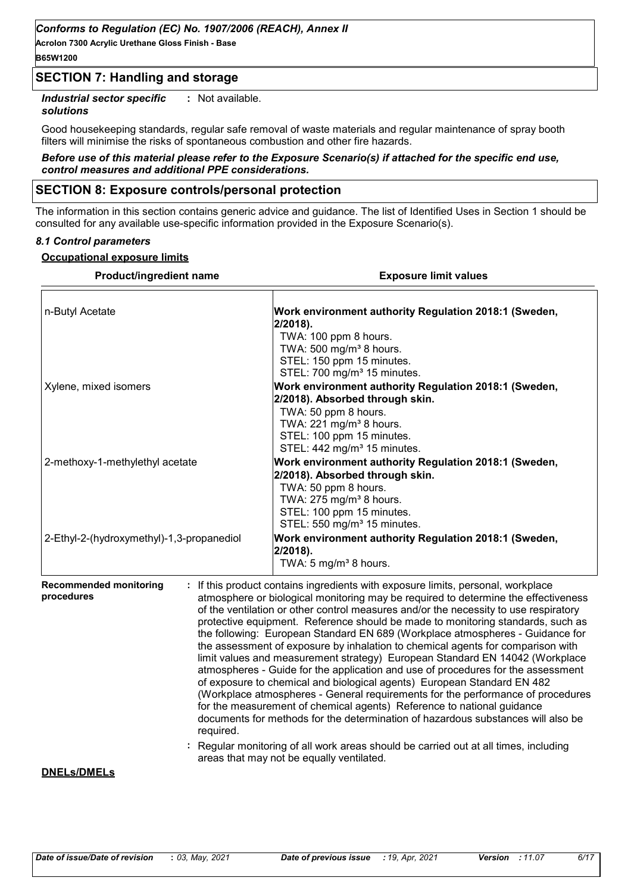**Acrolon 7300 Acrylic Urethane Gloss Finish - Base B65W1200**

### **SECTION 7: Handling and storage**

*Industrial sector specific* **:** : Not available.

#### *solutions*

Good housekeeping standards, regular safe removal of waste materials and regular maintenance of spray booth filters will minimise the risks of spontaneous combustion and other fire hazards.

#### *Before use of this material please refer to the Exposure Scenario(s) if attached for the specific end use, control measures and additional PPE considerations.*

### **SECTION 8: Exposure controls/personal protection**

The information in this section contains generic advice and guidance. The list of Identified Uses in Section 1 should be consulted for any available use-specific information provided in the Exposure Scenario(s).

#### *8.1 Control parameters*

#### **Occupational exposure limits**

| <b>Product/ingredient name</b>                           | <b>Exposure limit values</b>                                                                                                                                                                                                                                                                                                                                                                                                                                                                                                                                                                                                                                                                                                                                                                                                                                                                                                                                                                                                                                                                              |  |  |
|----------------------------------------------------------|-----------------------------------------------------------------------------------------------------------------------------------------------------------------------------------------------------------------------------------------------------------------------------------------------------------------------------------------------------------------------------------------------------------------------------------------------------------------------------------------------------------------------------------------------------------------------------------------------------------------------------------------------------------------------------------------------------------------------------------------------------------------------------------------------------------------------------------------------------------------------------------------------------------------------------------------------------------------------------------------------------------------------------------------------------------------------------------------------------------|--|--|
| n-Butyl Acetate                                          | Work environment authority Regulation 2018:1 (Sweden,<br>$2/2018$ ).<br>TWA: 100 ppm 8 hours.<br>TWA: 500 mg/m <sup>3</sup> 8 hours.<br>STEL: 150 ppm 15 minutes.<br>STEL: 700 mg/m <sup>3</sup> 15 minutes.                                                                                                                                                                                                                                                                                                                                                                                                                                                                                                                                                                                                                                                                                                                                                                                                                                                                                              |  |  |
| Xylene, mixed isomers                                    | Work environment authority Regulation 2018:1 (Sweden,<br>2/2018). Absorbed through skin.<br>TWA: 50 ppm 8 hours.<br>TWA: 221 mg/m <sup>3</sup> 8 hours.<br>STEL: 100 ppm 15 minutes.<br>STEL: 442 mg/m <sup>3</sup> 15 minutes.                                                                                                                                                                                                                                                                                                                                                                                                                                                                                                                                                                                                                                                                                                                                                                                                                                                                           |  |  |
| 2-methoxy-1-methylethyl acetate                          | Work environment authority Regulation 2018:1 (Sweden,<br>2/2018). Absorbed through skin.<br>TWA: 50 ppm 8 hours.<br>TWA: 275 mg/m <sup>3</sup> 8 hours.<br>STEL: 100 ppm 15 minutes.<br>STEL: 550 mg/m <sup>3</sup> 15 minutes.                                                                                                                                                                                                                                                                                                                                                                                                                                                                                                                                                                                                                                                                                                                                                                                                                                                                           |  |  |
| 2-Ethyl-2-(hydroxymethyl)-1,3-propanediol                | Work environment authority Regulation 2018:1 (Sweden,<br>$2/2018$ ).<br>TWA: 5 mg/m <sup>3</sup> 8 hours.                                                                                                                                                                                                                                                                                                                                                                                                                                                                                                                                                                                                                                                                                                                                                                                                                                                                                                                                                                                                 |  |  |
| <b>Recommended monitoring</b><br>procedures<br>required. | If this product contains ingredients with exposure limits, personal, workplace<br>atmosphere or biological monitoring may be required to determine the effectiveness<br>of the ventilation or other control measures and/or the necessity to use respiratory<br>protective equipment. Reference should be made to monitoring standards, such as<br>the following: European Standard EN 689 (Workplace atmospheres - Guidance for<br>the assessment of exposure by inhalation to chemical agents for comparison with<br>limit values and measurement strategy) European Standard EN 14042 (Workplace<br>atmospheres - Guide for the application and use of procedures for the assessment<br>of exposure to chemical and biological agents) European Standard EN 482<br>(Workplace atmospheres - General requirements for the performance of procedures<br>for the measurement of chemical agents) Reference to national guidance<br>documents for methods for the determination of hazardous substances will also be<br>Regular monitoring of all work areas should be carried out at all times, including |  |  |
| <b>DNELs/DMELs</b>                                       | areas that may not be equally ventilated.                                                                                                                                                                                                                                                                                                                                                                                                                                                                                                                                                                                                                                                                                                                                                                                                                                                                                                                                                                                                                                                                 |  |  |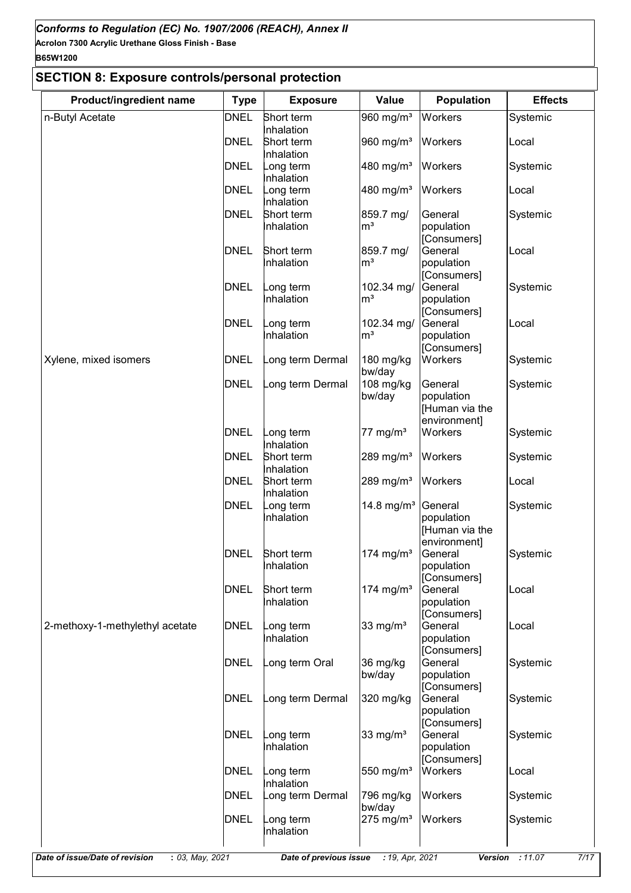### **B65W1200**

## **SECTION 8: Exposure controls/personal protection**

| Product/ingredient name         | <b>Type</b> | <b>Exposure</b>          | Value                   | <b>Population</b>              | <b>Effects</b> |
|---------------------------------|-------------|--------------------------|-------------------------|--------------------------------|----------------|
| n-Butyl Acetate                 | <b>DNEL</b> | Short term               | 960 mg/m <sup>3</sup>   | <b>Workers</b>                 | Systemic       |
|                                 |             | Inhalation               |                         |                                |                |
|                                 | <b>DNEL</b> | Short term               | 960 mg/m <sup>3</sup>   | Workers                        | Local          |
|                                 | <b>DNEL</b> | Inhalation<br>ong term   | 480 mg/m <sup>3</sup>   | Workers                        | Systemic       |
|                                 |             | Inhalation               |                         |                                |                |
|                                 | DNEL        | ong term                 | 480 mg/m <sup>3</sup>   | <b>Workers</b>                 | Local          |
|                                 |             | Inhalation               |                         |                                |                |
|                                 | <b>DNEL</b> | Short term               | 859.7 mg/               | General                        | Systemic       |
|                                 |             | nhalation                | $\mathsf{m}^3$          | population                     |                |
|                                 |             |                          |                         | [Consumers]                    |                |
|                                 | <b>DNEL</b> | Short term               | 859.7 mg/               | General                        | Local          |
|                                 |             | Inhalation               | m <sup>3</sup>          | population<br>[Consumers]      |                |
|                                 | <b>DNEL</b> | ong term                 | 102.34 mg/              | General                        | Systemic       |
|                                 |             | Inhalation               | m <sup>3</sup>          | population                     |                |
|                                 |             |                          |                         | [Consumers]                    |                |
|                                 | <b>DNEL</b> | ong term                 | 102.34 mg/              | General                        | Local          |
|                                 |             | nhalation                | m <sup>3</sup>          | population                     |                |
|                                 |             |                          |                         | [Consumers]                    |                |
| Xylene, mixed isomers           | DNEL        | ong term Dermal          | 180 mg/kg               | Workers                        | Systemic       |
|                                 |             |                          | bw/day                  |                                |                |
|                                 | <b>DNEL</b> | ong term Dermal          | 108 mg/kg               | General                        | Systemic       |
|                                 |             |                          | bw/day                  | population                     |                |
|                                 |             |                          |                         | [Human via the<br>environment] |                |
|                                 | <b>DNEL</b> | ong term                 | 77 mg/ $m3$             | Workers                        | Systemic       |
|                                 |             | Inhalation               |                         |                                |                |
|                                 | <b>DNEL</b> | Short term               | 289 mg/m <sup>3</sup>   | Workers                        | Systemic       |
|                                 |             | Inhalation               |                         |                                |                |
|                                 | DNEL        | Short term               | 289 mg/m <sup>3</sup>   | Workers                        | Local          |
|                                 |             | Inhalation               |                         |                                |                |
|                                 | <b>DNEL</b> | ong term                 | 14.8 mg/m <sup>3</sup>  | General                        | Systemic       |
|                                 |             | nhalation                |                         | population                     |                |
|                                 |             |                          |                         | [Human via the                 |                |
|                                 |             |                          |                         | environment]                   |                |
|                                 | <b>DNEL</b> | Short term<br>Inhalation | 174 mg/m $3$            | General<br>population          | Systemic       |
|                                 |             |                          |                         | [Consumers]                    |                |
|                                 | <b>DNEL</b> | Short term               | 174 mg/m <sup>3</sup>   | General                        | Local          |
|                                 |             | nhalation                |                         | population                     |                |
|                                 |             |                          |                         | [Consumers]                    |                |
| 2-methoxy-1-methylethyl acetate | <b>DNEL</b> | ong term                 | 33 mg/ $m3$             | General                        | Local          |
|                                 |             | nhalation                |                         | population                     |                |
|                                 |             |                          |                         | [Consumers]                    |                |
|                                 | <b>DNEL</b> | ong term Oral            | 36 mg/kg                | General                        | Systemic       |
|                                 |             |                          | bw/day                  | population                     |                |
|                                 |             |                          |                         | [Consumers]                    |                |
|                                 | <b>DNEL</b> | ong term Dermal          | 320 mg/kg               | General<br>population          | Systemic       |
|                                 |             |                          |                         | [Consumers]                    |                |
|                                 | <b>DNEL</b> | ong term                 | 33 mg/ $m3$             | General                        | Systemic       |
|                                 |             | nhalation                |                         | population                     |                |
|                                 |             |                          |                         | [Consumers]                    |                |
|                                 | DNEL        | ong term                 | 550 mg/m <sup>3</sup>   | Workers                        | Local          |
|                                 |             | nhalation                |                         |                                |                |
|                                 | <b>DNEL</b> | ong term Dermal          | 796 mg/kg               | Workers                        | Systemic       |
|                                 |             |                          | bw/day                  |                                |                |
|                                 | <b>DNEL</b> | ong term                 | $275$ mg/m <sup>3</sup> | <b>Workers</b>                 | Systemic       |
|                                 |             | nhalation                |                         |                                |                |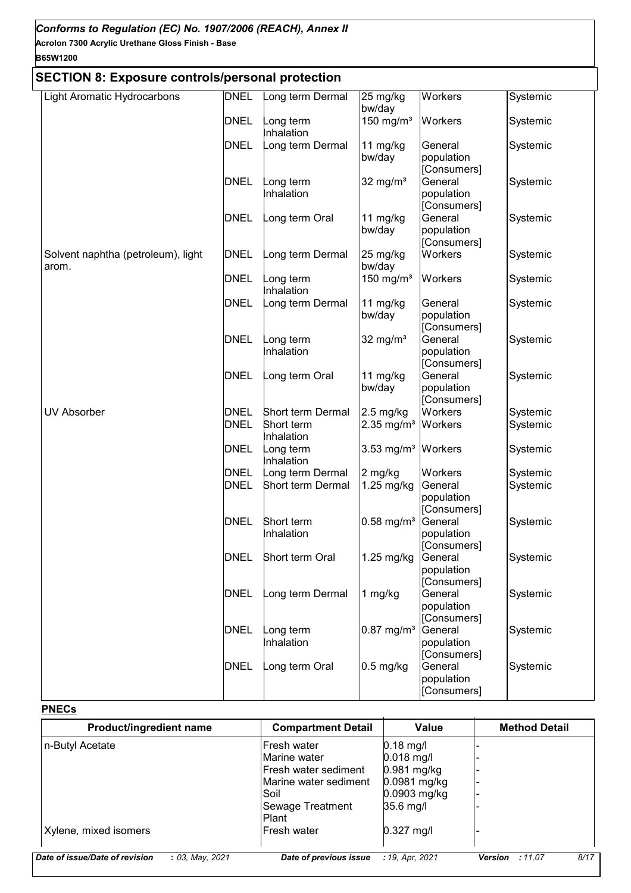### **B65W1200**

### **SECTION 8: Exposure controls/personal protection**

| OLOTION 0. LAPOSUIG CONTUOIS/PGI SONAL PIULGULIONI |                            |                                              |                                         |                                                 |                      |
|----------------------------------------------------|----------------------------|----------------------------------------------|-----------------------------------------|-------------------------------------------------|----------------------|
| <b>Light Aromatic Hydrocarbons</b>                 | <b>DNEL</b>                | ong term Dermal                              | 25 mg/kg<br>bw/day                      | Workers                                         | Systemic             |
|                                                    | <b>DNEL</b>                | ong term<br>nhalation                        | 150 mg/ $m3$                            | Workers                                         | Systemic             |
|                                                    | <b>DNEL</b>                | ong term Dermal                              | 11 mg/kg<br>bw/day                      | General<br>population<br>[Consumers]            | Systemic             |
|                                                    | <b>DNEL</b>                | ong term<br>nhalation                        | 32 mg/ $m3$                             | General<br>population<br>[Consumers]            | Systemic             |
|                                                    | <b>DNEL</b>                | ong term Oral                                | 11 mg/kg<br>bw/day                      | General<br>population<br>[Consumers]            | Systemic             |
| Solvent naphtha (petroleum), light<br>arom.        | <b>DNEL</b>                | ong term Dermal                              | 25 mg/kg<br>bw/day                      | Workers                                         | Systemic             |
|                                                    | <b>DNEL</b>                | ong term<br>nhalation                        | 150 mg/ $m3$                            | Workers                                         | Systemic             |
|                                                    | <b>DNEL</b>                | ong term Dermal                              | 11 mg/kg<br>bw/day                      | General<br>population<br>[Consumers]            | Systemic             |
|                                                    | <b>DNEL</b>                | ong term<br>nhalation                        | 32 mg/ $m3$                             | General<br>population<br>[Consumers]            | Systemic             |
|                                                    | <b>DNEL</b>                | ong term Oral                                | 11 mg/kg<br>bw/day                      | General<br>population<br>[Consumers]            | Systemic             |
| <b>UV Absorber</b>                                 | <b>DNEL</b><br><b>DNEL</b> | Short term Dermal<br>Short term<br>nhalation | $2.5$ mg/kg<br>$2.35$ mg/m <sup>3</sup> | Workers<br>Workers                              | Systemic<br>Systemic |
|                                                    | <b>DNEL</b>                | ong term<br>Inhalation                       | $3.53$ mg/m <sup>3</sup>                | Workers                                         | Systemic             |
|                                                    | <b>DNEL</b><br><b>DNEL</b> | ong term Dermal<br>Short term Dermal         | 2 mg/kg<br>1.25 mg/kg                   | Workers<br>General<br>population<br>[Consumers] | Systemic<br>Systemic |
|                                                    | <b>DNEL</b>                | Short term<br>Inhalation                     | $0.58$ mg/m <sup>3</sup>                | General<br>population<br>[Consumers]            | Systemic             |
|                                                    | <b>DNEL</b>                | Short term Oral                              | 1.25 mg/kg                              | General<br>population<br>[Consumers]            | Systemic             |
|                                                    | <b>DNEL</b>                | ong term Dermal                              | 1 mg/kg                                 | General<br>population<br>[Consumers]            | Systemic             |
|                                                    | <b>DNEL</b>                | ong term<br>Inhalation                       | $0.87$ mg/m <sup>3</sup>                | General<br>population<br>[Consumers]            | Systemic             |
|                                                    | <b>DNEL</b>                | ong term Oral                                | $0.5$ mg/kg                             | General<br>population<br>[Consumers]            | Systemic             |

### **PNECs**

| Product/ingredient name                              | <b>Compartment Detail</b> | Value           | <b>Method Detail</b>   |      |
|------------------------------------------------------|---------------------------|-----------------|------------------------|------|
| n-Butyl Acetate                                      | Fresh water               | $0.18$ mg/l     |                        |      |
|                                                      | Marine water              | $0.018$ mg/l    |                        |      |
|                                                      | lFresh water sediment     | $0.981$ mg/kg   |                        |      |
|                                                      | IMarine water sediment    | $0.0981$ mg/kg  |                        |      |
|                                                      | lSoil                     | 0.0903 mg/kg    |                        |      |
|                                                      | Sewage Treatment          | 35.6 mg/l       |                        |      |
|                                                      | <b>Plant</b>              |                 |                        |      |
| Xylene, mixed isomers                                | <b>IFresh water</b>       | $0.327$ mg/l    |                        |      |
|                                                      |                           |                 |                        |      |
| Date of issue/Date of revision<br>$: 03$ , May, 2021 | Date of previous issue    | : 19, Apr. 2021 | <b>Version</b> : 11.07 | 8/17 |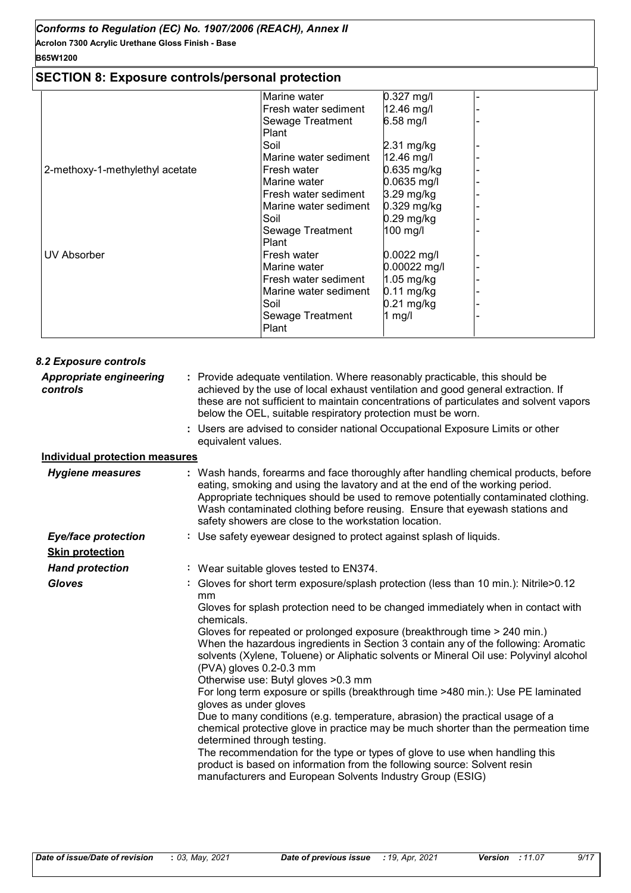### **B65W1200**

### **SECTION 8: Exposure controls/personal protection**

| SECTION 6. EXPOSULE CONTROIS/PETSONAL PROTECTION |                       |              |  |
|--------------------------------------------------|-----------------------|--------------|--|
|                                                  | Marine water          | 0.327 mg/l   |  |
|                                                  | Fresh water sediment  | 12.46 mg/l   |  |
|                                                  | Sewage Treatment      | 6.58 mg/l    |  |
|                                                  | Plant                 |              |  |
|                                                  | Soil                  | $2.31$ mg/kg |  |
|                                                  | Marine water sediment | 12.46 mg/l   |  |
| 2-methoxy-1-methylethyl acetate                  | Fresh water           | 0.635 mg/kg  |  |
|                                                  | Marine water          | 0.0635 mg/l  |  |
|                                                  | Fresh water sediment  | $3.29$ mg/kg |  |
|                                                  | Marine water sediment | 0.329 mg/kg  |  |
|                                                  | Soil                  | 0.29 mg/kg   |  |
|                                                  | Sewage Treatment      | 100 mg/l     |  |
|                                                  | Plant                 |              |  |
| <b>UV Absorber</b>                               | Fresh water           | 0.0022 mg/l  |  |
|                                                  | Marine water          | 0.00022 mg/l |  |
|                                                  | Fresh water sediment  | $1.05$ mg/kg |  |
|                                                  | Marine water sediment | $0.11$ mg/kg |  |
|                                                  | Soil                  | $0.21$ mg/kg |  |
|                                                  | Sewage Treatment      | 1 mg/l       |  |
|                                                  | Plant                 |              |  |

| 8.2 Exposure controls                      |                                                                                                                                                                                                                                                                                                                                                                                                                                                                                                                                                                                                                                                                                                                                                                                                                                                                                                                                                                                                                                                                        |
|--------------------------------------------|------------------------------------------------------------------------------------------------------------------------------------------------------------------------------------------------------------------------------------------------------------------------------------------------------------------------------------------------------------------------------------------------------------------------------------------------------------------------------------------------------------------------------------------------------------------------------------------------------------------------------------------------------------------------------------------------------------------------------------------------------------------------------------------------------------------------------------------------------------------------------------------------------------------------------------------------------------------------------------------------------------------------------------------------------------------------|
| <b>Appropriate engineering</b><br>controls | : Provide adequate ventilation. Where reasonably practicable, this should be<br>achieved by the use of local exhaust ventilation and good general extraction. If<br>these are not sufficient to maintain concentrations of particulates and solvent vapors<br>below the OEL, suitable respiratory protection must be worn.                                                                                                                                                                                                                                                                                                                                                                                                                                                                                                                                                                                                                                                                                                                                             |
|                                            | : Users are advised to consider national Occupational Exposure Limits or other<br>equivalent values.                                                                                                                                                                                                                                                                                                                                                                                                                                                                                                                                                                                                                                                                                                                                                                                                                                                                                                                                                                   |
| <b>Individual protection measures</b>      |                                                                                                                                                                                                                                                                                                                                                                                                                                                                                                                                                                                                                                                                                                                                                                                                                                                                                                                                                                                                                                                                        |
| <b>Hygiene measures</b>                    | : Wash hands, forearms and face thoroughly after handling chemical products, before<br>eating, smoking and using the lavatory and at the end of the working period.<br>Appropriate techniques should be used to remove potentially contaminated clothing.<br>Wash contaminated clothing before reusing. Ensure that eyewash stations and<br>safety showers are close to the workstation location.                                                                                                                                                                                                                                                                                                                                                                                                                                                                                                                                                                                                                                                                      |
| <b>Eye/face protection</b>                 | : Use safety eyewear designed to protect against splash of liquids.                                                                                                                                                                                                                                                                                                                                                                                                                                                                                                                                                                                                                                                                                                                                                                                                                                                                                                                                                                                                    |
| <b>Skin protection</b>                     |                                                                                                                                                                                                                                                                                                                                                                                                                                                                                                                                                                                                                                                                                                                                                                                                                                                                                                                                                                                                                                                                        |
| <b>Hand protection</b>                     | : Wear suitable gloves tested to EN374.                                                                                                                                                                                                                                                                                                                                                                                                                                                                                                                                                                                                                                                                                                                                                                                                                                                                                                                                                                                                                                |
| <b>Gloves</b>                              | : Gloves for short term exposure/splash protection (less than 10 min.): Nitrile>0.12<br>mm<br>Gloves for splash protection need to be changed immediately when in contact with<br>chemicals.<br>Gloves for repeated or prolonged exposure (breakthrough time > 240 min.)<br>When the hazardous ingredients in Section 3 contain any of the following: Aromatic<br>solvents (Xylene, Toluene) or Aliphatic solvents or Mineral Oil use: Polyvinyl alcohol<br>(PVA) gloves 0.2-0.3 mm<br>Otherwise use: Butyl gloves > 0.3 mm<br>For long term exposure or spills (breakthrough time >480 min.): Use PE laminated<br>gloves as under gloves<br>Due to many conditions (e.g. temperature, abrasion) the practical usage of a<br>chemical protective glove in practice may be much shorter than the permeation time<br>determined through testing.<br>The recommendation for the type or types of glove to use when handling this<br>product is based on information from the following source: Solvent resin<br>manufacturers and European Solvents Industry Group (ESIG) |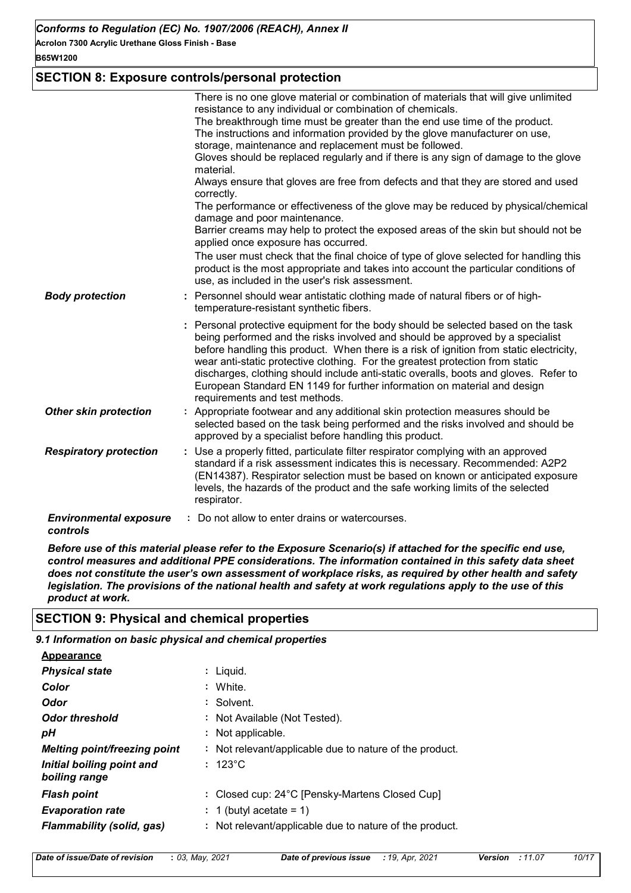#### **B65W1200**

### **SECTION 8: Exposure controls/personal protection**

|                                           | There is no one glove material or combination of materials that will give unlimited<br>resistance to any individual or combination of chemicals.<br>The breakthrough time must be greater than the end use time of the product.<br>The instructions and information provided by the glove manufacturer on use,<br>storage, maintenance and replacement must be followed.<br>Gloves should be replaced regularly and if there is any sign of damage to the glove<br>material.<br>Always ensure that gloves are free from defects and that they are stored and used<br>correctly.<br>The performance or effectiveness of the glove may be reduced by physical/chemical<br>damage and poor maintenance.<br>Barrier creams may help to protect the exposed areas of the skin but should not be<br>applied once exposure has occurred.<br>The user must check that the final choice of type of glove selected for handling this |
|-------------------------------------------|----------------------------------------------------------------------------------------------------------------------------------------------------------------------------------------------------------------------------------------------------------------------------------------------------------------------------------------------------------------------------------------------------------------------------------------------------------------------------------------------------------------------------------------------------------------------------------------------------------------------------------------------------------------------------------------------------------------------------------------------------------------------------------------------------------------------------------------------------------------------------------------------------------------------------|
|                                           | product is the most appropriate and takes into account the particular conditions of<br>use, as included in the user's risk assessment.                                                                                                                                                                                                                                                                                                                                                                                                                                                                                                                                                                                                                                                                                                                                                                                     |
| <b>Body protection</b>                    | : Personnel should wear antistatic clothing made of natural fibers or of high-<br>temperature-resistant synthetic fibers.                                                                                                                                                                                                                                                                                                                                                                                                                                                                                                                                                                                                                                                                                                                                                                                                  |
|                                           | : Personal protective equipment for the body should be selected based on the task<br>being performed and the risks involved and should be approved by a specialist<br>before handling this product. When there is a risk of ignition from static electricity,<br>wear anti-static protective clothing. For the greatest protection from static<br>discharges, clothing should include anti-static overalls, boots and gloves. Refer to<br>European Standard EN 1149 for further information on material and design<br>requirements and test methods.                                                                                                                                                                                                                                                                                                                                                                       |
| <b>Other skin protection</b>              | : Appropriate footwear and any additional skin protection measures should be<br>selected based on the task being performed and the risks involved and should be<br>approved by a specialist before handling this product.                                                                                                                                                                                                                                                                                                                                                                                                                                                                                                                                                                                                                                                                                                  |
| <b>Respiratory protection</b>             | : Use a properly fitted, particulate filter respirator complying with an approved<br>standard if a risk assessment indicates this is necessary. Recommended: A2P2<br>(EN14387). Respirator selection must be based on known or anticipated exposure<br>levels, the hazards of the product and the safe working limits of the selected<br>respirator.                                                                                                                                                                                                                                                                                                                                                                                                                                                                                                                                                                       |
| <b>Environmental exposure</b><br>controls | : Do not allow to enter drains or watercourses.                                                                                                                                                                                                                                                                                                                                                                                                                                                                                                                                                                                                                                                                                                                                                                                                                                                                            |

*Before use of this material please refer to the Exposure Scenario(s) if attached for the specific end use, control measures and additional PPE considerations. The information contained in this safety data sheet does not constitute the user's own assessment of workplace risks, as required by other health and safety legislation. The provisions of the national health and safety at work regulations apply to the use of this product at work.*

### **SECTION 9: Physical and chemical properties**

*9.1 Information on basic physical and chemical properties*

| Appearance                                 |                                                         |
|--------------------------------------------|---------------------------------------------------------|
| <b>Physical state</b>                      | : Liguid.                                               |
| Color                                      | : White.                                                |
| Odor                                       | : Solvent.                                              |
| <b>Odor threshold</b>                      | : Not Available (Not Tested).                           |
| pН                                         | : Not applicable.                                       |
| <b>Melting point/freezing point</b>        | : Not relevant/applicable due to nature of the product. |
| Initial boiling point and<br>boiling range | $: 123^{\circ}$ C                                       |
| <b>Flash point</b>                         | : Closed cup: 24°C [Pensky-Martens Closed Cup]          |
| <b>Evaporation rate</b>                    | : 1 (butyl acetate = 1)                                 |
| Flammability (solid, gas)                  | : Not relevant/applicable due to nature of the product. |

*Date of issue/Date of revision* **:** *03, May, 2021 Date of previous issue : 19, Apr, 2021 Version : 11.07 10/17*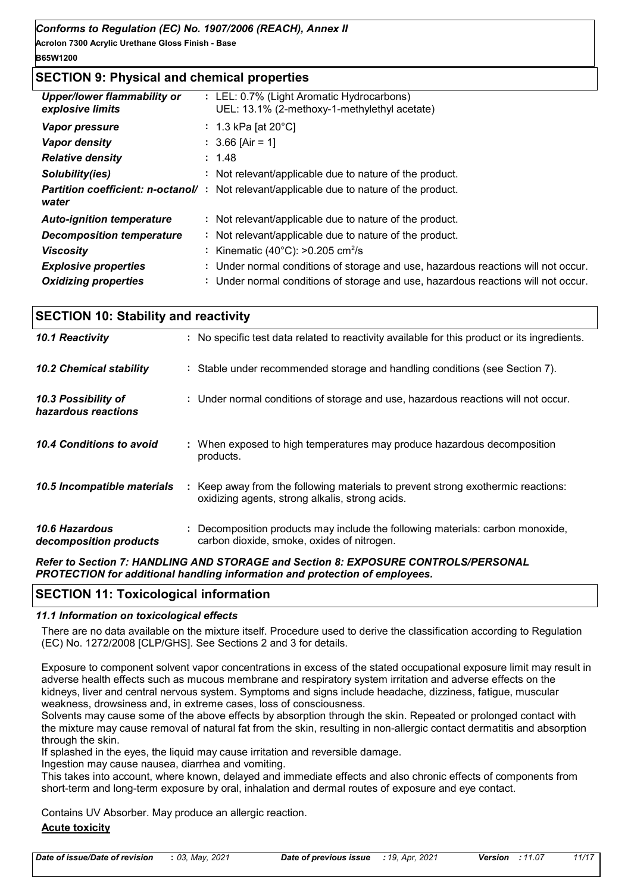**B65W1200**

### **SECTION 9: Physical and chemical properties**

| <b>Upper/lower flammability or</b><br>explosive limits | : LEL: 0.7% (Light Aromatic Hydrocarbons)<br>UEL: 13.1% (2-methoxy-1-methylethyl acetate) |
|--------------------------------------------------------|-------------------------------------------------------------------------------------------|
| Vapor pressure                                         | : 1.3 kPa [at $20^{\circ}$ C]                                                             |
| <b>Vapor density</b>                                   | $: 3.66$ [Air = 1]                                                                        |
| <b>Relative density</b>                                | : 1.48                                                                                    |
| Solubility(ies)                                        | : Not relevant/applicable due to nature of the product.                                   |
| <b>Partition coefficient: n-octanol/:</b><br>water     | Not relevant/applicable due to nature of the product.                                     |
| <b>Auto-ignition temperature</b>                       | : Not relevant/applicable due to nature of the product.                                   |
| <b>Decomposition temperature</b>                       | : Not relevant/applicable due to nature of the product.                                   |
| <b>Viscosity</b>                                       | : Kinematic (40 $^{\circ}$ C): >0.205 cm <sup>2</sup> /s                                  |
| <b>Explosive properties</b>                            | : Under normal conditions of storage and use, hazardous reactions will not occur.         |
| <b>Oxidizing properties</b>                            | : Under normal conditions of storage and use, hazardous reactions will not occur.         |

| <b>SECTION 10: Stability and reactivity</b>     |                                                                                                                                     |  |  |  |
|-------------------------------------------------|-------------------------------------------------------------------------------------------------------------------------------------|--|--|--|
| 10.1 Reactivity                                 | : No specific test data related to reactivity available for this product or its ingredients.                                        |  |  |  |
| 10.2 Chemical stability                         | : Stable under recommended storage and handling conditions (see Section 7).                                                         |  |  |  |
| 10.3 Possibility of<br>hazardous reactions      | : Under normal conditions of storage and use, hazardous reactions will not occur.                                                   |  |  |  |
| 10.4 Conditions to avoid                        | : When exposed to high temperatures may produce hazardous decomposition<br>products.                                                |  |  |  |
| 10.5 Incompatible materials                     | : Keep away from the following materials to prevent strong exothermic reactions:<br>oxidizing agents, strong alkalis, strong acids. |  |  |  |
| <b>10.6 Hazardous</b><br>decomposition products | : Decomposition products may include the following materials: carbon monoxide,<br>carbon dioxide, smoke, oxides of nitrogen.        |  |  |  |
|                                                 | B C C A C E UIUDIUIA IURATARIAE - IA C A EVRAAURE AAUTRALAIRERAAUIU                                                                 |  |  |  |

*Refer to Section 7: HANDLING AND STORAGE and Section 8: EXPOSURE CONTROLS/PERSONAL PROTECTION for additional handling information and protection of employees.*

### **SECTION 11: Toxicological information**

### *11.1 Information on toxicological effects*

There are no data available on the mixture itself. Procedure used to derive the classification according to Regulation (EC) No. 1272/2008 [CLP/GHS]. See Sections 2 and 3 for details.

Exposure to component solvent vapor concentrations in excess of the stated occupational exposure limit may result in adverse health effects such as mucous membrane and respiratory system irritation and adverse effects on the kidneys, liver and central nervous system. Symptoms and signs include headache, dizziness, fatigue, muscular weakness, drowsiness and, in extreme cases, loss of consciousness.

Solvents may cause some of the above effects by absorption through the skin. Repeated or prolonged contact with the mixture may cause removal of natural fat from the skin, resulting in non-allergic contact dermatitis and absorption through the skin.

If splashed in the eyes, the liquid may cause irritation and reversible damage.

Ingestion may cause nausea, diarrhea and vomiting.

This takes into account, where known, delayed and immediate effects and also chronic effects of components from short-term and long-term exposure by oral, inhalation and dermal routes of exposure and eye contact.

Contains UV Absorber. May produce an allergic reaction.

### **Acute toxicity**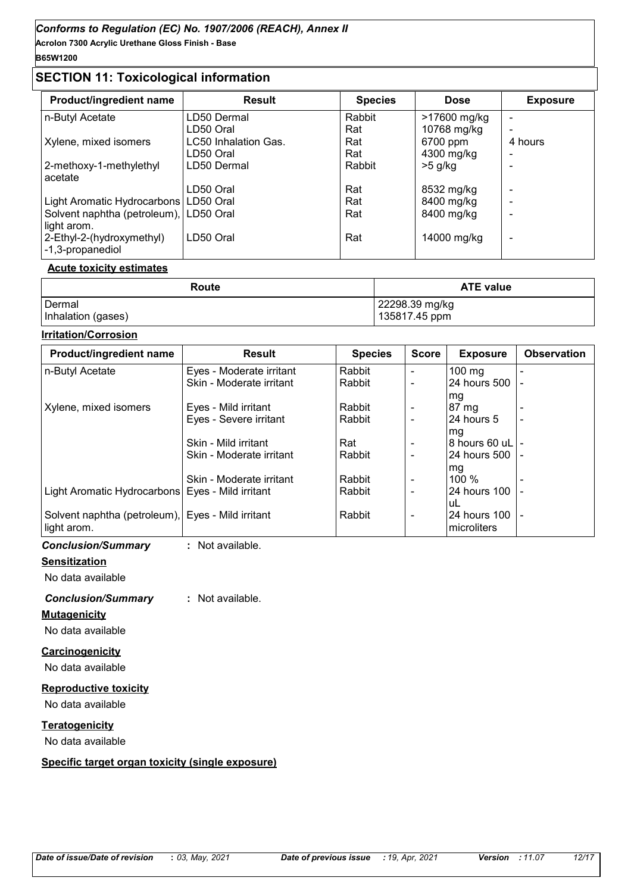### **SECTION 11: Toxicological information**

|                      | <b>Species</b> | <b>Dose</b>  | <b>Exposure</b> |
|----------------------|----------------|--------------|-----------------|
| LD50 Dermal          | Rabbit         | >17600 mg/kg |                 |
| LD50 Oral            | Rat            | 10768 mg/kg  |                 |
| LC50 Inhalation Gas. | Rat            | 6700 ppm     | 4 hours         |
| LD50 Oral            | Rat            | 4300 mg/kg   |                 |
| LD50 Dermal          | Rabbit         | $>5$ g/kg    |                 |
|                      |                |              |                 |
| LD50 Oral            | Rat            | 8532 mg/kg   |                 |
| LD50 Oral            | Rat            | 8400 mg/kg   |                 |
| l LD50 Oral          | Rat            | 8400 mg/kg   | -               |
|                      |                |              |                 |
| LD50 Oral            | Rat            | 14000 mg/kg  | -               |
|                      |                |              |                 |

#### **Acute toxicity estimates**

| Route              | <b>ATE value</b> |  |  |
|--------------------|------------------|--|--|
| l Dermal           | 22298.39 mg/kg   |  |  |
| Inhalation (gases) | 135817.45 ppm    |  |  |

#### **Irritation/Corrosion**

| <b>Product/ingredient name</b>                     | <b>Result</b>            | <b>Species</b> | <b>Score</b>                 | <b>Exposure</b>     | <b>Observation</b> |
|----------------------------------------------------|--------------------------|----------------|------------------------------|---------------------|--------------------|
| n-Butyl Acetate                                    | Eyes - Moderate irritant | Rabbit         |                              | $100$ mg            |                    |
|                                                    | Skin - Moderate irritant | Rabbit         | $\overline{\phantom{a}}$     | 24 hours 500   -    |                    |
|                                                    |                          |                |                              | mg                  |                    |
| Xylene, mixed isomers                              | Eyes - Mild irritant     | Rabbit         |                              | $87 \text{ mg}$     |                    |
|                                                    | Eyes - Severe irritant   | Rabbit         |                              | 124 hours 5         |                    |
|                                                    |                          |                |                              | lma                 |                    |
|                                                    | Skin - Mild irritant     | Rat            | $\qquad \qquad \blacksquare$ | I8 hours 60 uL⊺-    |                    |
|                                                    | Skin - Moderate irritant | Rabbit         |                              | I24 hours 500 I -   |                    |
|                                                    |                          |                |                              | mg                  |                    |
|                                                    | Skin - Moderate irritant | Rabbit         |                              | 100 $%$             |                    |
| Light Aromatic Hydrocarbons   Eyes - Mild irritant |                          | Rabbit         | $\overline{\phantom{0}}$     | 24 hours 100        |                    |
|                                                    |                          |                |                              | luL                 |                    |
| Solvent naphtha (petroleum), Eyes - Mild irritant  |                          | Rabbit         | $\overline{\phantom{a}}$     | 24 hours 100 -      |                    |
| light arom.                                        |                          |                |                              | <b>Imicroliters</b> |                    |

*Conclusion/Summary* **:** Not available.

### **Sensitization**

No data available

### *Conclusion/Summary* **:** Not available.

#### **Mutagenicity**

No data available

### **Carcinogenicity**

No data available

#### **Reproductive toxicity**

No data available

### **Teratogenicity**

No data available

### **Specific target organ toxicity (single exposure)**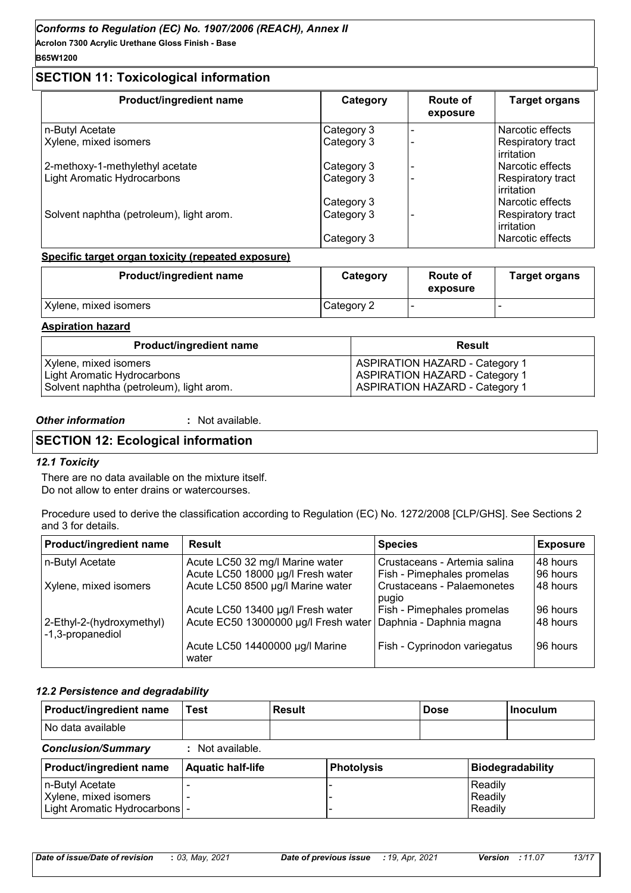### **B65W1200**

### **SECTION 11: Toxicological information**

| Product/ingredient name                  | Category   | Route of<br>exposure | <b>Target organs</b>            |
|------------------------------------------|------------|----------------------|---------------------------------|
| n-Butyl Acetate                          | Category 3 |                      | Narcotic effects                |
| Xylene, mixed isomers                    | Category 3 |                      | Respiratory tract<br>irritation |
| 2-methoxy-1-methylethyl acetate          | Category 3 |                      | Narcotic effects                |
| <b>Light Aromatic Hydrocarbons</b>       | Category 3 |                      | Respiratory tract<br>irritation |
|                                          | Category 3 |                      | Narcotic effects                |
| Solvent naphtha (petroleum), light arom. | Category 3 |                      | Respiratory tract<br>irritation |
|                                          | Category 3 |                      | Narcotic effects                |

### **Specific target organ toxicity (repeated exposure)**

| <b>Product/ingredient name</b> | Category   | Route of<br>exposure | <b>Target organs</b> |
|--------------------------------|------------|----------------------|----------------------|
| Xylene, mixed isomers          | Category 2 |                      |                      |

### **Aspiration hazard**

| <b>Product/ingredient name</b>           | <b>Result</b>                         |
|------------------------------------------|---------------------------------------|
| Xylene, mixed isomers                    | <b>ASPIRATION HAZARD - Category 1</b> |
| Light Aromatic Hydrocarbons              | <b>ASPIRATION HAZARD - Category 1</b> |
| Solvent naphtha (petroleum), light arom. | <b>ASPIRATION HAZARD - Category 1</b> |

#### *Other information* **:**

: Not available.

### **SECTION 12: Ecological information**

### *12.1 Toxicity*

There are no data available on the mixture itself.

Do not allow to enter drains or watercourses.

Procedure used to derive the classification according to Regulation (EC) No. 1272/2008 [CLP/GHS]. See Sections 2 and 3 for details.

| Product/ingredient name                       | Result                                                         | <b>Species</b>                      | <b>Exposure</b> |
|-----------------------------------------------|----------------------------------------------------------------|-------------------------------------|-----------------|
| n-Butyl Acetate                               | Acute LC50 32 mg/l Marine water                                | Crustaceans - Artemia salina        | 148 hours       |
|                                               | Acute LC50 18000 µg/l Fresh water                              | Fish - Pimephales promelas          | 96 hours        |
| Xylene, mixed isomers                         | Acute LC50 8500 µg/l Marine water                              | Crustaceans - Palaemonetes<br>pugio | 48 hours        |
|                                               | Acute LC50 13400 µg/l Fresh water                              | Fish - Pimephales promelas          | 96 hours        |
| 2-Ethyl-2-(hydroxymethyl)<br>-1,3-propanediol | Acute EC50 13000000 µg/l Fresh water   Daphnia - Daphnia magna |                                     | 48 hours        |
|                                               | Acute LC50 14400000 µg/l Marine<br>water                       | Fish - Cyprinodon variegatus        | 96 hours        |

### *12.2 Persistence and degradability*

| <b>Product/ingredient name</b>                                             | Test                     | <b>Result</b> |                   | <b>Dose</b> |                               | Inoculum         |
|----------------------------------------------------------------------------|--------------------------|---------------|-------------------|-------------|-------------------------------|------------------|
| No data available                                                          |                          |               |                   |             |                               |                  |
| <b>Conclusion/Summary</b>                                                  | $:$ Not available.       |               |                   |             |                               |                  |
| <b>Product/ingredient name</b>                                             | <b>Aquatic half-life</b> |               | <b>Photolysis</b> |             |                               | Biodegradability |
| n-Butyl Acetate<br>Xylene, mixed isomers<br>Light Aromatic Hydrocarbons  - |                          |               |                   |             | Readily<br>Readily<br>Readily |                  |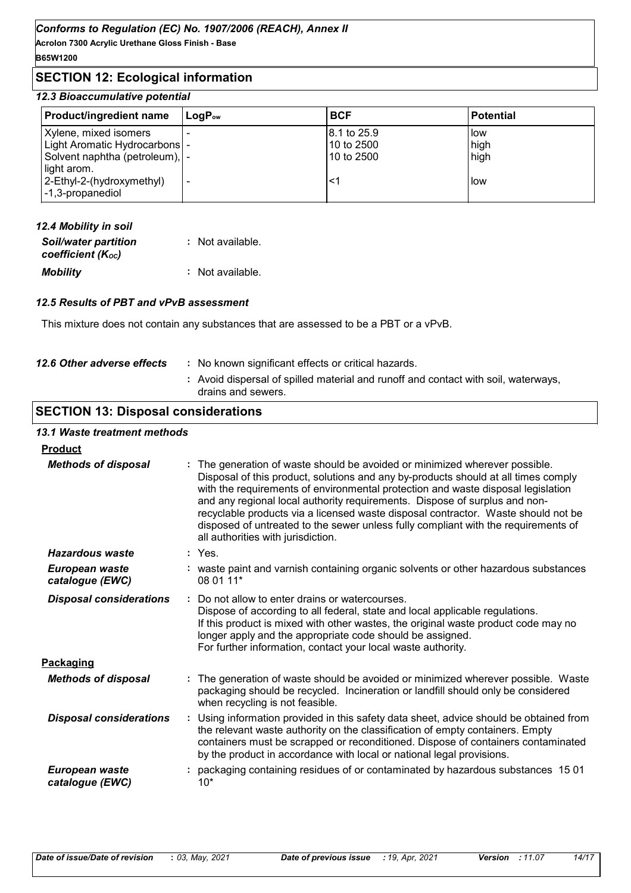**Acrolon 7300 Acrylic Urethane Gloss Finish - Base B65W1200**

### **SECTION 12: Ecological information**

### *12.3 Bioaccumulative potential*

| <b>Product/ingredient name</b>  | $\mathsf{LogP}_\mathsf{ow}$ | <b>BCF</b>  | <b>Potential</b> |
|---------------------------------|-----------------------------|-------------|------------------|
| Xylene, mixed isomers           |                             | 8.1 to 25.9 | low              |
| Light Aromatic Hydrocarbons  -  |                             | 10 to 2500  | high             |
| Solvent naphtha (petroleum),  - |                             | 10 to 2500  | high             |
| light arom.                     |                             |             |                  |
| 2-Ethyl-2-(hydroxymethyl)       |                             |             | low              |
| -1,3-propanediol                |                             |             |                  |

| 12.4 Mobility in soil                            |                  |
|--------------------------------------------------|------------------|
| <b>Soil/water partition</b><br>coefficient (Koc) | : Not available. |
| <b>Mobility</b>                                  | : Not available. |

#### *12.5 Results of PBT and vPvB assessment*

This mixture does not contain any substances that are assessed to be a PBT or a vPvB.

| 12.6 Other adverse effects | : No known significant effects or critical hazards.<br>: Avoid dispersal of spilled material and runoff and contact with soil, waterways,<br>drains and sewers. |
|----------------------------|-----------------------------------------------------------------------------------------------------------------------------------------------------------------|
|                            |                                                                                                                                                                 |

### **SECTION 13: Disposal considerations**

# *13.1 Waste treatment methods*

| <b>Product</b>                    |                                                                                                                                                                                                                                                                                                                                                                                                                                                                                                                                                    |
|-----------------------------------|----------------------------------------------------------------------------------------------------------------------------------------------------------------------------------------------------------------------------------------------------------------------------------------------------------------------------------------------------------------------------------------------------------------------------------------------------------------------------------------------------------------------------------------------------|
| <b>Methods of disposal</b>        | The generation of waste should be avoided or minimized wherever possible.<br>Disposal of this product, solutions and any by-products should at all times comply<br>with the requirements of environmental protection and waste disposal legislation<br>and any regional local authority requirements. Dispose of surplus and non-<br>recyclable products via a licensed waste disposal contractor. Waste should not be<br>disposed of untreated to the sewer unless fully compliant with the requirements of<br>all authorities with jurisdiction. |
| Hazardous waste                   | $:$ Yes.                                                                                                                                                                                                                                                                                                                                                                                                                                                                                                                                           |
| European waste<br>catalogue (EWC) | : waste paint and varnish containing organic solvents or other hazardous substances<br>08 01 11*                                                                                                                                                                                                                                                                                                                                                                                                                                                   |
| <b>Disposal considerations</b>    | Do not allow to enter drains or watercourses.<br>÷<br>Dispose of according to all federal, state and local applicable regulations.<br>If this product is mixed with other wastes, the original waste product code may no<br>longer apply and the appropriate code should be assigned.<br>For further information, contact your local waste authority.                                                                                                                                                                                              |
| Packaging                         |                                                                                                                                                                                                                                                                                                                                                                                                                                                                                                                                                    |
| <b>Methods of disposal</b>        | The generation of waste should be avoided or minimized wherever possible. Waste<br>packaging should be recycled. Incineration or landfill should only be considered<br>when recycling is not feasible.                                                                                                                                                                                                                                                                                                                                             |
| <b>Disposal considerations</b>    | Using information provided in this safety data sheet, advice should be obtained from<br>the relevant waste authority on the classification of empty containers. Empty<br>containers must be scrapped or reconditioned. Dispose of containers contaminated<br>by the product in accordance with local or national legal provisions.                                                                                                                                                                                                                 |
| European waste<br>catalogue (EWC) | packaging containing residues of or contaminated by hazardous substances 15 01<br>$10*$                                                                                                                                                                                                                                                                                                                                                                                                                                                            |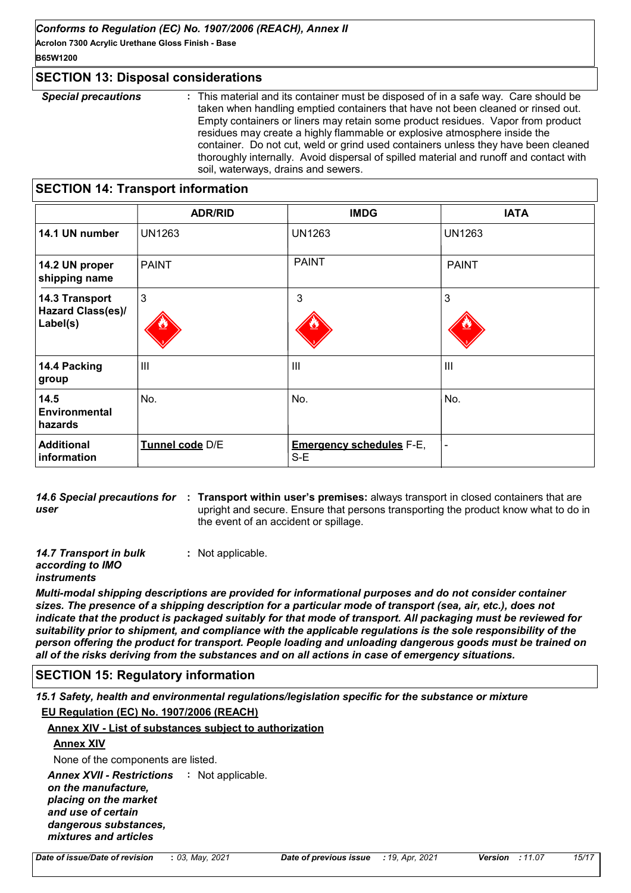**Acrolon 7300 Acrylic Urethane Gloss Finish - Base B65W1200**

### **SECTION 13: Disposal considerations**

*Special precautions* **:** This material and its container must be disposed of in a safe way. Care should be taken when handling emptied containers that have not been cleaned or rinsed out. Empty containers or liners may retain some product residues. Vapor from product residues may create a highly flammable or explosive atmosphere inside the container. Do not cut, weld or grind used containers unless they have been cleaned thoroughly internally. Avoid dispersal of spilled material and runoff and contact with soil, waterways, drains and sewers.

### **SECTION 14: Transport information**

|                                         | <b>ADR/RID</b>  | <b>IMDG</b>                              | <b>IATA</b>   |
|-----------------------------------------|-----------------|------------------------------------------|---------------|
| 14.1 UN number                          | <b>UN1263</b>   | <b>UN1263</b>                            | <b>UN1263</b> |
| 14.2 UN proper<br>shipping name         | <b>PAINT</b>    | <b>PAINT</b>                             | <b>PAINT</b>  |
| 14.3 Transport                          | $\mathbf{3}$    | 3                                        | 3             |
| Hazard Class(es)/<br>Label(s)           |                 |                                          |               |
| 14.4 Packing<br>group                   | $\mathbf{III}$  | $\mathbf{III}$                           | III           |
| 14.5<br><b>Environmental</b><br>hazards | No.             | No.                                      | No.           |
| <b>Additional</b><br>information        | Tunnel code D/E | <b>Emergency schedules F-E,</b><br>$S-E$ |               |

14.6 Special precautions for : Transport within user's premises: always transport in closed containers that are *user* upright and secure. Ensure that persons transporting the product know what to do in the event of an accident or spillage.

*14.7 Transport in bulk according to IMO*  **:** Not applicable.

*instruments*

*Multi-modal shipping descriptions are provided for informational purposes and do not consider container sizes. The presence of a shipping description for a particular mode of transport (sea, air, etc.), does not indicate that the product is packaged suitably for that mode of transport. All packaging must be reviewed for suitability prior to shipment, and compliance with the applicable regulations is the sole responsibility of the person offering the product for transport. People loading and unloading dangerous goods must be trained on all of the risks deriving from the substances and on all actions in case of emergency situations.*

### **SECTION 15: Regulatory information**

*15.1 Safety, health and environmental regulations/legislation specific for the substance or mixture* **EU Regulation (EC) No. 1907/2006 (REACH)**

### **Annex XIV - List of substances subject to authorization**

### **Annex XIV**

None of the components are listed.

Annex XVII - Restrictions : Not applicable. *on the manufacture, placing on the market and use of certain* 

*dangerous substances, mixtures and articles*

*Date of issue/Date of revision* **:** *03, May, 2021 Date of previous issue : 19, Apr, 2021 Version : 11.07 15/17*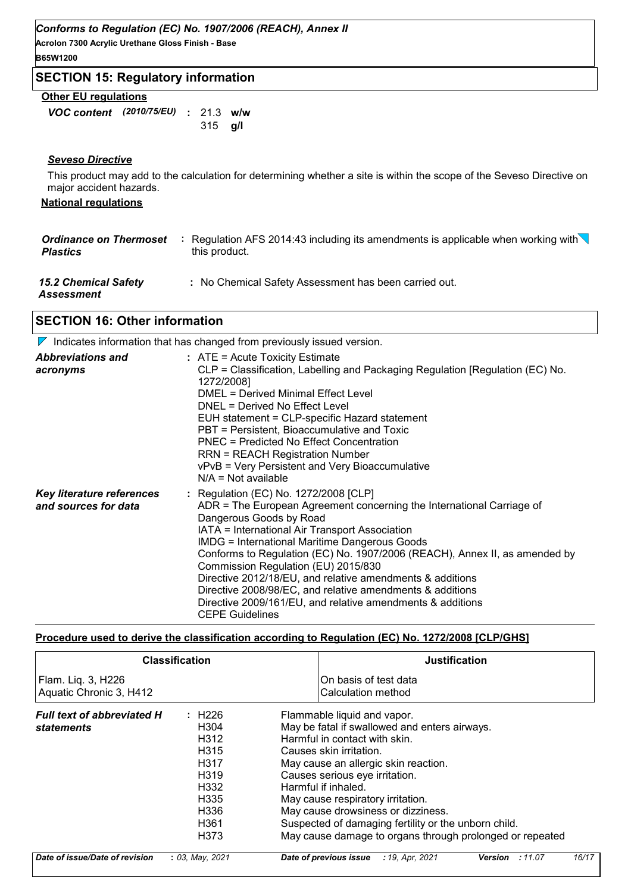**Acrolon 7300 Acrylic Urethane Gloss Finish - Base B65W1200**

### **SECTION 15: Regulatory information**

### **Other EU regulations**

*VOC content (2010/75/EU)* : 21.3 w/w **g/l** 315

### *Seveso Directive*

This product may add to the calculation for determining whether a site is within the scope of the Seveso Directive on major accident hazards.

### **National regulations**

| <b>Ordinance on Thermoset</b><br><b>Plastics</b> | Regulation AFS 2014:43 including its amendments is applicable when working with $\setminus$<br>this product. |  |
|--------------------------------------------------|--------------------------------------------------------------------------------------------------------------|--|
| <b>15.2 Chemical Safety</b><br>Assessment        | : No Chemical Safety Assessment has been carried out.                                                        |  |

### **SECTION 16: Other information**

 $\nabla$  Indicates information that has changed from previously issued version.

| <b>Abbreviations and</b><br>acronyms                     | $:$ ATE = Acute Toxicity Estimate<br>CLP = Classification, Labelling and Packaging Regulation [Regulation (EC) No.<br>1272/2008]<br><b>DMEL = Derived Minimal Effect Level</b><br>DNEL = Derived No Effect Level<br>EUH statement = CLP-specific Hazard statement<br>PBT = Persistent, Bioaccumulative and Toxic<br><b>PNEC = Predicted No Effect Concentration</b><br><b>RRN = REACH Registration Number</b><br>vPvB = Very Persistent and Very Bioaccumulative<br>$N/A = Not available$                                                                                                  |
|----------------------------------------------------------|--------------------------------------------------------------------------------------------------------------------------------------------------------------------------------------------------------------------------------------------------------------------------------------------------------------------------------------------------------------------------------------------------------------------------------------------------------------------------------------------------------------------------------------------------------------------------------------------|
| <b>Key literature references</b><br>and sources for data | : Regulation (EC) No. 1272/2008 [CLP]<br>ADR = The European Agreement concerning the International Carriage of<br>Dangerous Goods by Road<br>IATA = International Air Transport Association<br><b>IMDG = International Maritime Dangerous Goods</b><br>Conforms to Regulation (EC) No. 1907/2006 (REACH), Annex II, as amended by<br>Commission Regulation (EU) 2015/830<br>Directive 2012/18/EU, and relative amendments & additions<br>Directive 2008/98/EC, and relative amendments & additions<br>Directive 2009/161/EU, and relative amendments & additions<br><b>CEPE Guidelines</b> |

### **Procedure used to derive the classification according to Regulation (EC) No. 1272/2008 [CLP/GHS]**

|                                                 | <b>Classification</b>                                                                                                                                           | <b>Justification</b>                                                                                                                                                                                                                                                                                                                                                                                                                     |
|-------------------------------------------------|-----------------------------------------------------------------------------------------------------------------------------------------------------------------|------------------------------------------------------------------------------------------------------------------------------------------------------------------------------------------------------------------------------------------------------------------------------------------------------------------------------------------------------------------------------------------------------------------------------------------|
| Flam. Liq. 3, H226<br>Aquatic Chronic 3, H412   |                                                                                                                                                                 | On basis of test data<br>Calculation method                                                                                                                                                                                                                                                                                                                                                                                              |
| <b>Full text of abbreviated H</b><br>statements | : H226<br>H <sub>304</sub><br>H312<br>H <sub>315</sub><br>H317<br>H <sub>319</sub><br>H <sub>3</sub> 32<br>H335<br>H <sub>336</sub><br>H <sub>361</sub><br>H373 | Flammable liquid and vapor.<br>May be fatal if swallowed and enters airways.<br>Harmful in contact with skin.<br>Causes skin irritation.<br>May cause an allergic skin reaction.<br>Causes serious eye irritation.<br>Harmful if inhaled.<br>May cause respiratory irritation.<br>May cause drowsiness or dizziness.<br>Suspected of damaging fertility or the unborn child.<br>May cause damage to organs through prolonged or repeated |
| Date of issue/Date of revision                  | : 03, May, 2021                                                                                                                                                 | 16/17<br>Date of previous issue<br>:11.07<br>: 19, Apr, 2021<br>Version                                                                                                                                                                                                                                                                                                                                                                  |